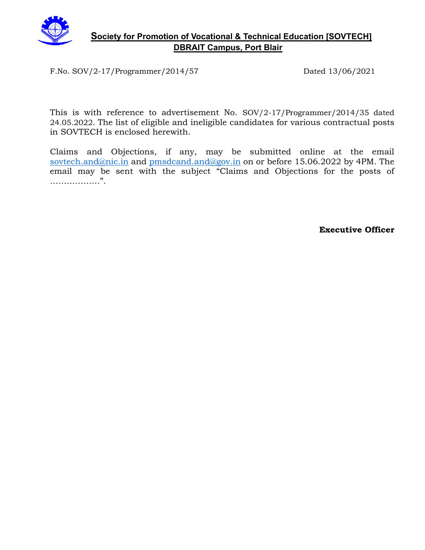

#### **Society for Promotion of Vocational & Technical Education [SOVTECH] DBRAIT Campus, Port Blair**

F.No. SOV/2-17/Programmer/2014/57 Dated 13/06/2021

This is with reference to advertisement No. SOV/2-17/Programmer/2014/35 dated 24.05.2022. The list of eligible and ineligible candidates for various contractual posts in SOVTECH is enclosed herewith.

Claims and Objections, if any, may be submitted online at the email [sovtech.and@nic.in](mailto:sovtech.and@nic.in) and [pmsdcand.and@gov.in](mailto:pmsdcand.and@gov.in) on or before 15.06.2022 by 4PM. The email may be sent with the subject "Claims and Objections for the posts of ………………".

**Executive Officer**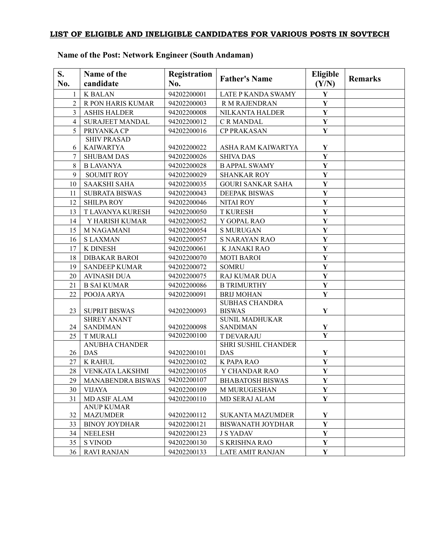#### **LIST OF ELIGIBLE AND INELIGIBLE CANDIDATES FOR VARIOUS POSTS IN SOVTECH**

| S.<br>No.      | Name of the<br>candidate             | <b>Registration</b><br>No. | <b>Father's Name</b>                   | <b>Eligible</b><br>(Y/N) | <b>Remarks</b> |
|----------------|--------------------------------------|----------------------------|----------------------------------------|--------------------------|----------------|
| $\mathbf{1}$   | <b>K BALAN</b>                       | 94202200001                | LATE P KANDA SWAMY                     | $\mathbf Y$              |                |
| $\overline{2}$ | R PON HARIS KUMAR                    | 94202200003                | R M RAJENDRAN                          | $\mathbf Y$              |                |
| 3              | <b>ASHIS HALDER</b>                  | 94202200008                | NILKANTA HALDER                        | $\mathbf Y$              |                |
| 4              | <b>SURAJEET MANDAL</b>               | 94202200012                | C R MANDAL                             | $\mathbf Y$              |                |
| 5              | PRIYANKA CP                          | 94202200016                | <b>CP PRAKASAN</b>                     | $\mathbf Y$              |                |
|                | <b>SHIV PRASAD</b>                   |                            |                                        |                          |                |
| 6              | <b>KAIWARTYA</b>                     | 94202200022                | ASHA RAM KAIWARTYA                     | Y                        |                |
| 7              | <b>SHUBAM DAS</b>                    | 94202200026                | <b>SHIVA DAS</b>                       | $\mathbf Y$              |                |
| 8              | <b>B LAVANYA</b>                     | 94202200028                | <b>B APPAL SWAMY</b>                   | $\mathbf Y$              |                |
| 9              | <b>SOUMIT ROY</b>                    | 94202200029                | <b>SHANKAR ROY</b>                     | $\mathbf Y$              |                |
| 10             | <b>SAAKSHI SAHA</b>                  | 94202200035                | <b>GOURI SANKAR SAHA</b>               | $\mathbf Y$              |                |
| 11             | <b>SUBRATA BISWAS</b>                | 94202200043                | <b>DEEPAK BISWAS</b>                   | $\mathbf Y$              |                |
| 12             | <b>SHILPA ROY</b>                    | 94202200046                | <b>NITAI ROY</b>                       | Y                        |                |
| 13             | T LAVANYA KURESH                     | 94202200050                | <b>T KURESH</b>                        | $\mathbf Y$              |                |
| 14             | Y HARISH KUMAR                       | 94202200052                | Y GOPAL RAO                            | $\mathbf Y$              |                |
| 15             | <b>M NAGAMANI</b>                    | 94202200054                | <b>S MURUGAN</b>                       | $\mathbf Y$              |                |
| 16             | <b>SLAXMAN</b>                       | 94202200057                | <b>S NARAYAN RAO</b>                   | $\mathbf Y$              |                |
| 17             | K DINESH                             | 94202200061                | K JANAKI RAO                           | $\mathbf Y$              |                |
| 18             | <b>DIBAKAR BAROI</b>                 | 94202200070                | <b>MOTI BAROI</b>                      | $\mathbf Y$              |                |
| 19             | <b>SANDEEP KUMAR</b>                 | 94202200072                | <b>SOMRU</b>                           | $\mathbf Y$              |                |
| 20             | <b>AVINASH DUA</b>                   | 94202200075                | RAJ KUMAR DUA                          | $\mathbf Y$              |                |
| 21             | <b>B SAI KUMAR</b>                   | 94202200086                | <b>B TRIMURTHY</b>                     | $\mathbf Y$              |                |
| 22             | POOJA ARYA                           | 94202200091                | <b>BRIJ MOHAN</b>                      | $\mathbf Y$              |                |
| 23             | <b>SUPRIT BISWAS</b>                 | 94202200093                | <b>SUBHAS CHANDRA</b><br><b>BISWAS</b> | $\mathbf Y$              |                |
|                | <b>SHREY ANANT</b>                   |                            | <b>SUNIL MADHUKAR</b>                  |                          |                |
| 24             | <b>SANDIMAN</b>                      | 94202200098                | <b>SANDIMAN</b>                        | $\mathbf Y$              |                |
| 25             | <b>T MURALI</b>                      | 94202200100                | <b>T DEVARAJU</b>                      | $\overline{\mathbf{Y}}$  |                |
|                | <b>ANUBHA CHANDER</b>                |                            | <b>SHRI SUSHIL CHANDER</b>             |                          |                |
| 26             | DAS                                  | 94202200101                | DAS                                    | $\mathbf Y$              |                |
| 27             | <b>K RAHUL</b>                       | 94202200102                | K PAPA RAO                             | $\mathbf Y$              |                |
| 28             | VENKATA LAKSHMI                      | 94202200105                | Y CHANDAR RAO                          | $\mathbf Y$              |                |
| 29             | MANABENDRA BISWAS                    | 94202200107                | <b>BHABATOSH BISWAS</b>                | Y                        |                |
| 30             | <b>VIJAYA</b>                        | 94202200109                | <b>M MURUGESHAN</b>                    | $\mathbf Y$              |                |
| 31             | <b>MD ASIF ALAM</b>                  | 94202200110                | MD SERAJ ALAM                          | $\mathbf Y$              |                |
| 32             | <b>ANUP KUMAR</b><br><b>MAZUMDER</b> | 94202200112                | <b>SUKANTA MAZUMDER</b>                | Y                        |                |
| 33             | <b>BINOY JOYDHAR</b>                 | 94202200121                | <b>BISWANATH JOYDHAR</b>               | $\mathbf Y$              |                |
| 34             | <b>NEELESH</b>                       | 94202200123                | <b>J S YADAV</b>                       | Y                        |                |
| 35             | <b>S VINOD</b>                       | 94202200130                | S KRISHNA RAO                          | Y                        |                |
| 36             | <b>RAVI RANJAN</b>                   | 94202200133                | <b>LATE AMIT RANJAN</b>                | ${\bf Y}$                |                |

### **Name of the Post: Network Engineer (South Andaman)**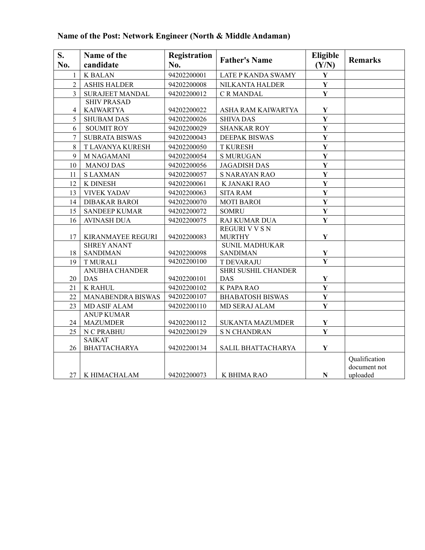| S.<br>No.      | Name of the<br>candidate             | <b>Registration</b><br>No. | <b>Father's Name</b>    | <b>Eligible</b><br>(Y/N) | <b>Remarks</b>                |
|----------------|--------------------------------------|----------------------------|-------------------------|--------------------------|-------------------------------|
| $\mathbf{1}$   | <b>K BALAN</b>                       | 94202200001                | LATE P KANDA SWAMY      | $\mathbf Y$              |                               |
| $\overline{2}$ | <b>ASHIS HALDER</b>                  | 94202200008                | NILKANTA HALDER         | $\mathbf Y$              |                               |
| $\overline{3}$ | <b>SURAJEET MANDAL</b>               | 94202200012                | C R MANDAL              | $\mathbf Y$              |                               |
|                | <b>SHIV PRASAD</b>                   |                            |                         |                          |                               |
| 4              | <b>KAIWARTYA</b>                     | 94202200022                | ASHA RAM KAIWARTYA      | $\mathbf Y$              |                               |
| 5              | <b>SHUBAM DAS</b>                    | 94202200026                | <b>SHIVA DAS</b>        | $\mathbf{Y}$             |                               |
| 6              | <b>SOUMIT ROY</b>                    | 94202200029                | <b>SHANKAR ROY</b>      | $\mathbf{Y}$             |                               |
| $\overline{7}$ | <b>SUBRATA BISWAS</b>                | 94202200043                | <b>DEEPAK BISWAS</b>    | $\mathbf{Y}$             |                               |
| $\,8\,$        | T LAVANYA KURESH                     | 94202200050                | <b>T KURESH</b>         | $\mathbf Y$              |                               |
| 9              | <b>M NAGAMANI</b>                    | 94202200054                | <b>S MURUGAN</b>        | $\mathbf Y$              |                               |
| 10             | <b>MANOJ DAS</b>                     | 94202200056                | <b>JAGADISH DAS</b>     | $\mathbf Y$              |                               |
| 11             | <b>SLAXMAN</b>                       | 94202200057                | <b>S NARAYAN RAO</b>    | $\mathbf Y$              |                               |
| 12             | K DINESH                             | 94202200061                | K JANAKI RAO            | $\mathbf Y$              |                               |
| 13             | <b>VIVEK YADAV</b>                   | 94202200063                | <b>SITA RAM</b>         | $\mathbf Y$              |                               |
| 14             | <b>DIBAKAR BAROI</b>                 | 94202200070                | <b>MOTI BAROI</b>       | $\mathbf{Y}$             |                               |
| 15             | <b>SANDEEP KUMAR</b>                 | 94202200072                | <b>SOMRU</b>            | $\mathbf Y$              |                               |
| 16             | <b>AVINASH DUA</b>                   | 94202200075                | RAJ KUMAR DUA           | $\mathbf Y$              |                               |
|                |                                      |                            | <b>REGURI V V S N</b>   |                          |                               |
| 17             | KIRANMAYEE REGURI                    | 94202200083                | <b>MURTHY</b>           | $\mathbf Y$              |                               |
|                | <b>SHREY ANANT</b>                   |                            | <b>SUNIL MADHUKAR</b>   |                          |                               |
| 18             | <b>SANDIMAN</b>                      | 94202200098                | <b>SANDIMAN</b>         | ${\bf Y}$                |                               |
| 19             | <b>T MURALI</b>                      | 94202200100                | <b>T DEVARAJU</b>       | $\overline{\mathbf{Y}}$  |                               |
|                | <b>ANUBHA CHANDER</b>                |                            | SHRI SUSHIL CHANDER     |                          |                               |
| 20             | <b>DAS</b>                           | 94202200101                | <b>DAS</b>              | $\mathbf Y$              |                               |
| 21             | <b>K RAHUL</b>                       | 94202200102                | K PAPA RAO              | $\mathbf Y$              |                               |
| 22             | <b>MANABENDRA BISWAS</b>             | 94202200107                | <b>BHABATOSH BISWAS</b> | $\mathbf Y$              |                               |
| 23             | <b>MD ASIF ALAM</b>                  | 94202200110                | MD SERAJ ALAM           | $\mathbf{Y}$             |                               |
|                | <b>ANUP KUMAR</b>                    |                            |                         |                          |                               |
| 24             | <b>MAZUMDER</b>                      | 94202200112                | <b>SUKANTA MAZUMDER</b> | $\mathbf Y$              |                               |
| 25             | N C PRABHU                           | 94202200129                | <b>S N CHANDRAN</b>     | $\mathbf{Y}$             |                               |
| 26             | <b>SAIKAT</b><br><b>BHATTACHARYA</b> | 94202200134                | SALIL BHATTACHARYA      | $\mathbf Y$              |                               |
|                |                                      |                            |                         |                          |                               |
|                |                                      |                            |                         |                          | Qualification<br>document not |
| 27             | K HIMACHALAM                         | 94202200073                | K BHIMA RAO             | ${\bf N}$                | uploaded                      |

## **Name of the Post: Network Engineer (North & Middle Andaman)**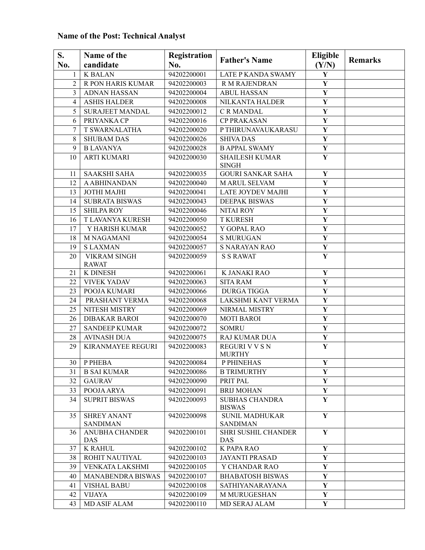## **Name of the Post: Technical Analyst**

| S.<br>No.       | Name of the<br>candidate              | Registration<br>No. | <b>Father's Name</b>                     | <b>Eligible</b><br>(Y/N) | <b>Remarks</b> |
|-----------------|---------------------------------------|---------------------|------------------------------------------|--------------------------|----------------|
| $\mathbf{1}$    | <b>K BALAN</b>                        | 94202200001         | <b>LATE P KANDA SWAMY</b>                | $\mathbf Y$              |                |
| $\overline{2}$  | R PON HARIS KUMAR                     | 94202200003         | R M RAJENDRAN                            | $\mathbf Y$              |                |
| $\overline{3}$  | <b>ADNAN HASSAN</b>                   | 94202200004         | <b>ABUL HASSAN</b>                       | $\mathbf Y$              |                |
| $\overline{4}$  | <b>ASHIS HALDER</b>                   | 94202200008         | NILKANTA HALDER                          | $\mathbf Y$              |                |
| 5               | <b>SURAJEET MANDAL</b>                | 94202200012         | C R MANDAL                               | $\mathbf{Y}$             |                |
| 6               | PRIYANKA CP                           | 94202200016         | <b>CP PRAKASAN</b>                       | $\mathbf Y$              |                |
| 7               | <b>T SWARNALATHA</b>                  | 94202200020         | P THIRUNAVAUKARASU                       | $\overline{\mathbf{Y}}$  |                |
| 8               | <b>SHUBAM DAS</b>                     | 94202200026         | <b>SHIVA DAS</b>                         | $\mathbf Y$              |                |
| 9               | <b>B LAVANYA</b>                      | 94202200028         | <b>B APPAL SWAMY</b>                     | $\mathbf Y$              |                |
| 10              | <b>ARTI KUMARI</b>                    | 94202200030         | <b>SHAILESH KUMAR</b><br><b>SINGH</b>    | $\mathbf Y$              |                |
| 11              | <b>SAAKSHI SAHA</b>                   | 94202200035         | <b>GOURI SANKAR SAHA</b>                 | $\mathbf Y$              |                |
| 12              | <b>A ABHINANDAN</b>                   | 94202200040         | M ARUL SELVAM                            | $\mathbf Y$              |                |
| 13              | JOTHI MAJHI                           | 94202200041         | LATE JOYDEV MAJHI                        | $\mathbf Y$              |                |
| 14              | <b>SUBRATA BISWAS</b>                 | 94202200043         | <b>DEEPAK BISWAS</b>                     | $\mathbf Y$              |                |
| 15              | <b>SHILPA ROY</b>                     | 94202200046         | <b>NITAI ROY</b>                         | $\mathbf Y$              |                |
| 16              | T LAVANYA KURESH                      | 94202200050         | <b>T KURESH</b>                          | $\mathbf{Y}$             |                |
| 17              | Y HARISH KUMAR                        | 94202200052         | Y GOPAL RAO                              | $\mathbf Y$              |                |
| 18              | <b>M NAGAMANI</b>                     | 94202200054         | <b>S MURUGAN</b>                         | $\mathbf Y$              |                |
| 19              | <b>SLAXMAN</b>                        | 94202200057         | <b>S NARAYAN RAO</b>                     | $\mathbf Y$              |                |
| 20              | <b>VIKRAM SINGH</b><br><b>RAWAT</b>   | 94202200059         | <b>S S RAWAT</b>                         | $\mathbf Y$              |                |
| 21              | K DINESH                              | 94202200061         | K JANAKI RAO                             | $\mathbf Y$              |                |
| 22              | <b>VIVEK YADAV</b>                    | 94202200063         | <b>SITA RAM</b>                          | $\mathbf Y$              |                |
| 23              | POOJA KUMARI                          | 94202200066         | <b>DURGA TIGGA</b>                       | $\mathbf Y$              |                |
| 24              | PRASHANT VERMA                        | 94202200068         | LAKSHMI KANT VERMA                       | $\mathbf Y$              |                |
| 25              | NITESH MISTRY                         | 94202200069         | NIRMAL MISTRY                            | $\mathbf Y$              |                |
| 26              | <b>DIBAKAR BAROI</b>                  | 94202200070         | <b>MOTI BAROI</b>                        | $\mathbf Y$              |                |
| 27              | <b>SANDEEP KUMAR</b>                  | 94202200072         | <b>SOMRU</b>                             | $\mathbf Y$              |                |
| 28              | <b>AVINASH DUA</b>                    | 94202200075         | <b>RAJ KUMAR DUA</b>                     | $\mathbf Y$              |                |
| 29              | <b>KIRANMAYEE REGURI</b>              | 94202200083         | <b>REGURI V V S N</b><br><b>MURTHY</b>   | $\mathbf Y$              |                |
| 30 <sup>1</sup> | P PHEBA                               | 94202200084         | P PHINEHAS                               | Y                        |                |
| 31              | <b>B SAI KUMAR</b>                    | 94202200086         | <b>B TRIMURTHY</b>                       | $\mathbf{Y}$             |                |
| 32              | <b>GAURAV</b>                         | 94202200090         | PRIT PAL                                 | $\mathbf Y$              |                |
| 33              | POOJA ARYA                            | 94202200091         | <b>BRIJ MOHAN</b>                        | $\mathbf{Y}$             |                |
| 34              | <b>SUPRIT BISWAS</b>                  | 94202200093         | <b>SUBHAS CHANDRA</b><br><b>BISWAS</b>   | $\mathbf{Y}$             |                |
| 35              | <b>SHREY ANANT</b><br><b>SANDIMAN</b> | 94202200098         | <b>SUNIL MADHUKAR</b><br><b>SANDIMAN</b> | $\mathbf Y$              |                |
| 36              | <b>ANUBHA CHANDER</b><br>DAS          | 94202200101         | SHRI SUSHIL CHANDER<br>DAS               | $\mathbf Y$              |                |
| 37              | <b>K RAHUL</b>                        | 94202200102         | K PAPA RAO                               | ${\bf Y}$                |                |
| 38              | ROHIT NAUTIYAL                        | 94202200103         | <b>JAYANTI PRASAD</b>                    | Y                        |                |
| 39              | VENKATA LAKSHMI                       | 94202200105         | Y CHANDAR RAO                            | Y                        |                |
| 40              | MANABENDRA BISWAS                     | 94202200107         | <b>BHABATOSH BISWAS</b>                  | $\mathbf{Y}$             |                |
| 41              | <b>VISHAL BABU</b>                    | 94202200108         | <b>SATHIYANARAYANA</b>                   | Y                        |                |
| 42              | <b>VIJAYA</b>                         | 94202200109         | <b>M MURUGESHAN</b>                      | ${\bf Y}$                |                |
| 43              | <b>MD ASIF ALAM</b>                   | 94202200110         | <b>MD SERAJ ALAM</b>                     | $\mathbf Y$              |                |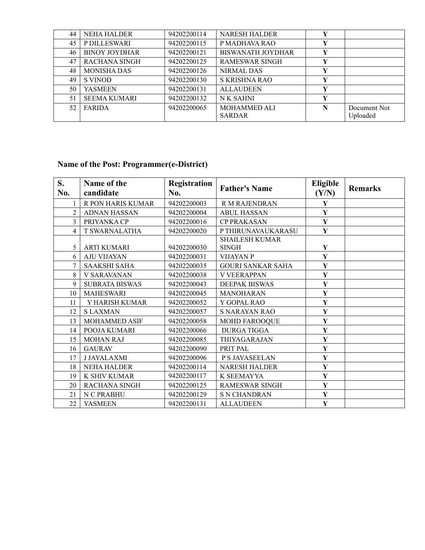| 44 | <b>NEHA HALDER</b>   | 94202200114 | <b>NARESH HALDER</b>     | Y |              |
|----|----------------------|-------------|--------------------------|---|--------------|
| 45 | P DILLESWARI         | 94202200115 | P MADHAVA RAO            |   |              |
| 46 | <b>BINOY JOYDHAR</b> | 94202200121 | <b>BISWANATH JOYDHAR</b> | Y |              |
| 47 | <b>RACHANA SINGH</b> | 94202200125 | <b>RAMESWAR SINGH</b>    | Y |              |
| 48 | <b>MONISHA DAS</b>   | 94202200126 | NIRMAL DAS               |   |              |
| 49 | S VINOD              | 94202200130 | S KRISHNA RAO            | Y |              |
| 50 | <b>YASMEEN</b>       | 94202200131 | <b>ALLAUDEEN</b>         | Y |              |
| 51 | <b>SEEMA KUMARI</b>  | 94202200132 | N K SAHNI                | Y |              |
| 52 | FARIDA               | 94202200065 | <b>MOHAMMED ALI</b>      | N | Document Not |
|    |                      |             | <b>SARDAR</b>            |   | Uploaded     |

### **Name of the Post: Programmer(e-District)**

| S.<br>No.      | Name of the<br>candidate | <b>Registration</b><br>No. | <b>Father's Name</b>                  | <b>Eligible</b><br>(Y/N) | <b>Remarks</b> |
|----------------|--------------------------|----------------------------|---------------------------------------|--------------------------|----------------|
|                | R PON HARIS KUMAR        | 94202200003                | <b>R M RAJENDRAN</b>                  | Y                        |                |
| $\overline{2}$ | <b>ADNAN HASSAN</b>      | 94202200004                | <b>ABUL HASSAN</b>                    | $\mathbf Y$              |                |
| 3              | PRIYANKA CP              | 94202200016                | <b>CP PRAKASAN</b>                    | $\mathbf{Y}$             |                |
| $\overline{4}$ | <b>T SWARNALATHA</b>     | 94202200020                | P THIRUNAVAUKARASU                    | Y                        |                |
| 5              | <b>ARTI KUMARI</b>       | 94202200030                | <b>SHAILESH KUMAR</b><br><b>SINGH</b> | $\mathbf{Y}$             |                |
| 6              | <b>AJU VIJAYAN</b>       | 94202200031                | <b>VIJAYAN P</b>                      | $\mathbf Y$              |                |
| 7              | <b>SAAKSHI SAHA</b>      | 94202200035                | <b>GOURI SANKAR SAHA</b>              | $\mathbf Y$              |                |
| 8              | <b>V SARAVANAN</b>       | 94202200038                | <b>V VEERAPPAN</b>                    | $\mathbf Y$              |                |
| 9              | <b>SUBRATA BISWAS</b>    | 94202200043                | <b>DEEPAK BISWAS</b>                  | $\mathbf Y$              |                |
| 10             | <b>MAHESWARI</b>         | 94202200045                | <b>MANOHARAN</b>                      | $\mathbf Y$              |                |
| 11             | Y HARISH KUMAR           | 94202200052                | Y GOPAL RAO                           | $\mathbf Y$              |                |
| 12             | <b>SLAXMAN</b>           | 94202200057                | <b>S NARAYAN RAO</b>                  | $\mathbf Y$              |                |
| 13             | MOHAMMED ASIF            | 94202200058                | <b>MOHD FAROOQUE</b>                  | $\mathbf Y$              |                |
| 14             | POOJA KUMARI             | 94202200066                | <b>DURGA TIGGA</b>                    | $\mathbf Y$              |                |
| 15             | <b>MOHAN RAJ</b>         | 94202200085                | THIYAGARAJAN                          | $\mathbf{Y}$             |                |
| 16             | <b>GAURAV</b>            | 94202200090                | PRIT PAL                              | Y                        |                |
| 17             | <b>J JAYALAXMI</b>       | 94202200096                | P S JAYASEELAN                        | $\mathbf Y$              |                |
| 18             | <b>NEHA HALDER</b>       | 94202200114                | <b>NARESH HALDER</b>                  | Y                        |                |
| 19             | K SHIV KUMAR             | 94202200117                | K SEEMAYYA                            | $\mathbf Y$              |                |
| 20             | <b>RACHANA SINGH</b>     | 94202200125                | <b>RAMESWAR SINGH</b>                 | $\mathbf{Y}$             |                |
| 21             | N C PRABHU               | 94202200129                | <b>S N CHANDRAN</b>                   | Y                        |                |
| 22             | <b>YASMEEN</b>           | 94202200131                | <b>ALLAUDEEN</b>                      | $\mathbf Y$              |                |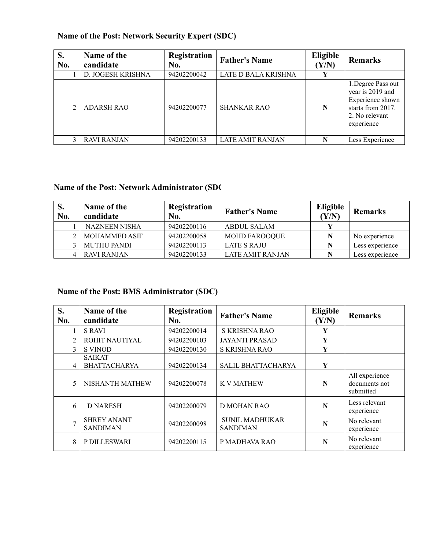| S.<br>No. | Name of the<br>candidate | Registration<br>No. | <b>Father's Name</b>    | Eligible<br>(Y/N) | <b>Remarks</b>                                                                                                  |
|-----------|--------------------------|---------------------|-------------------------|-------------------|-----------------------------------------------------------------------------------------------------------------|
|           | D. JOGESH KRISHNA        | 94202200042         | LATE D BALA KRISHNA     | Y                 |                                                                                                                 |
|           | <b>ADARSH RAO</b>        | 94202200077         | <b>SHANKAR RAO</b>      | N                 | 1. Degree Pass out<br>year is 2019 and<br>Experience shown<br>starts from 2017.<br>2. No relevant<br>experience |
|           | <b>RAVI RANJAN</b>       | 94202200133         | <b>LATE AMIT RANJAN</b> | N                 | Less Experience                                                                                                 |

### **Name of the Post: Network Security Expert (SDC)**

# **Name of the Post: Network Administrator (SDC)**

| S.<br>No. | Name of the<br>candidate | Registration<br>No. | <b>Father's Name</b>    | Eligible<br>(Y/N) | <b>Remarks</b>  |
|-----------|--------------------------|---------------------|-------------------------|-------------------|-----------------|
|           | <b>NAZNEEN NISHA</b>     | 94202200116         | ABDUL SALAM             |                   |                 |
|           | <b>MOHAMMED ASIF</b>     | 94202200058         | <b>MOHD FAROOQUE</b>    | N                 | No experience   |
|           | <b>MUTHU PANDI</b>       | 94202200113         | LATE S RAJU             | N                 | Less experience |
|           | <b>RAVI RANJAN</b>       | 94202200133         | <b>LATE AMIT RANJAN</b> | N                 | Less experience |

#### **Name of the Post: BMS Administrator (SDC)**

| S.<br>No.      | Name of the<br>candidate              | Registration<br>No. | <b>Father's Name</b>                     | <b>Eligible</b><br>(Y/N) | <b>Remarks</b>                               |
|----------------|---------------------------------------|---------------------|------------------------------------------|--------------------------|----------------------------------------------|
|                | <b>S RAVI</b>                         | 94202200014         | S KRISHNA RAO                            | Y                        |                                              |
| $\overline{2}$ | ROHIT NAUTIYAL                        | 94202200103         | <b>JAYANTI PRASAD</b>                    | Y                        |                                              |
| 3              | <b>S VINOD</b>                        | 94202200130         | S KRISHNA RAO                            | Y                        |                                              |
| 4              | <b>SAIKAT</b><br><b>BHATTACHARYA</b>  | 94202200134         | <b>SALIL BHATTACHARYA</b>                | Y                        |                                              |
| 5              | NISHANTH MATHEW                       | 94202200078         | <b>K V MATHEW</b>                        | N                        | All experience<br>documents not<br>submitted |
| 6              | <b>D NARESH</b>                       | 94202200079         | <b>D MOHAN RAO</b>                       | N                        | Less relevant<br>experience                  |
| $\mathbf{r}$   | <b>SHREY ANANT</b><br><b>SANDIMAN</b> | 94202200098         | <b>SUNIL MADHUKAR</b><br><b>SANDIMAN</b> | N                        | No relevant<br>experience                    |
| 8              | P DILLESWARI                          | 94202200115         | P MADHAVA RAO                            | N                        | No relevant<br>experience                    |